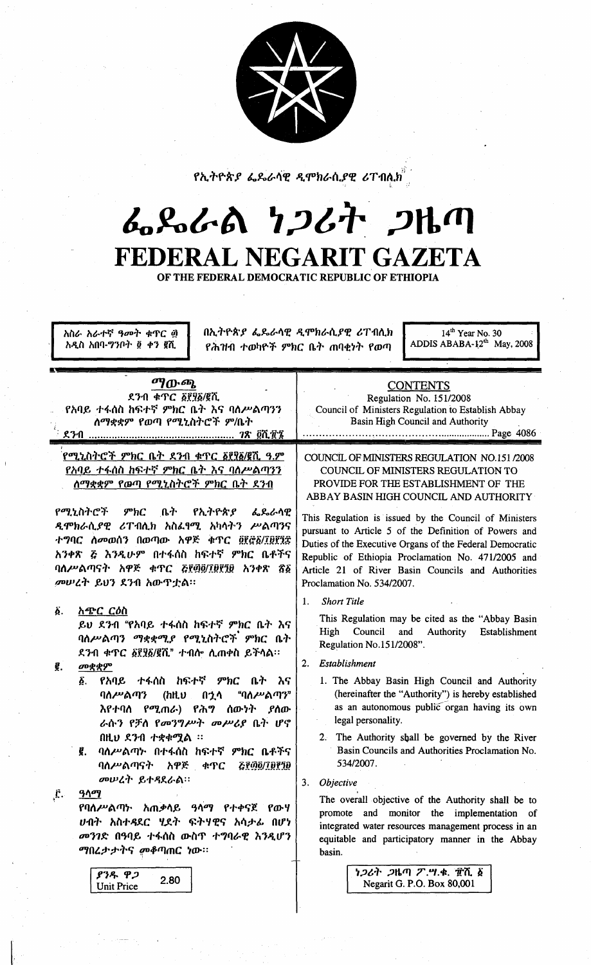|  | т<br>Ξ. |  |
|--|---------|--|
|  |         |  |

የኢትዮጵያ ፌዴራሳዊ ዲሞክራሲያዊ ሪፐብሲ $\hat{n}^3$ 

# んぺんの りつびれ つりの FEDERAL NEGARIT GAZETA

OF THE FEDERAL DEMOCRATIC REPUBLIC OF ETHIOPIA

አስራ አራተኛ ዓመት ቁጥር ፴ አዲስ አበባ-ግንቦት ፬ ቀን ፪ሺ

በኢትዮጵያ ፌዴራሳዊ ዲሞክራሲያዊ ሪፐብሲክ የሕዝብ ተወካዮች ምክር ቤት ጠባቂነት የወጣ

 $14<sup>th</sup>$  Year No. 30<br>ADDIS ABABA-12<sup>th</sup> May, 2008

| ማውጫ<br>ደንብ ቁጥር ፩፻፶፩/፪ሺ<br>የአባይ ተፋሰስ ከፍተኛ ምክር ቤት እና ባሰሥልጣንን<br>ለማቋቋም የወጣ የሚኒስትሮች ም/ቤት                                                                                                                                                                                                                                             | <b>CONTENTS</b><br>Regulation No. 151/2008<br>Council of Ministers Regulation to Establish Abbay<br>Basin High Council and Authority                                                                                                                                                                                                                                                                                                                                            |  |  |
|----------------------------------------------------------------------------------------------------------------------------------------------------------------------------------------------------------------------------------------------------------------------------------------------------------------------------------|---------------------------------------------------------------------------------------------------------------------------------------------------------------------------------------------------------------------------------------------------------------------------------------------------------------------------------------------------------------------------------------------------------------------------------------------------------------------------------|--|--|
| <u>የሚኒስትሮች ምክር ቤት ደንብ ቁጥር ፩፻፶፩/፪ሺ ዓ.ም</u><br>የአባይ ተፋሰስ ከፍተኛ ምክር ቤት እና ባሰሥልጣንን<br><u>ለማቋቋም የውጣ የሚኒስትሮች ምክር ቤት ደንብ</u>                                                                                                                                                                                                             | COUNCIL OF MINISTERS REGULATION NO.151 /2008<br>COUNCIL OF MINISTERS REGULATION TO<br>PROVIDE FOR THE ESTABLISHMENT OF THE<br>ABBAY BASIN HIGH COUNCIL AND AUTHORITY                                                                                                                                                                                                                                                                                                            |  |  |
| የሚኒስትሮች ምክር<br>ቤት<br>የኢትዮጵያ<br>ፌዴራሳዊ<br>ዲሞክራሲያዊ ሪፐብሲክ አስፌፃሚ አካሳትን ሥልጣንና<br>ተግባር ስመወሰን በወጣው አዋጅ ቁጥር ፬፻፸፩/፲፱፻፺፰<br>አንቀጽ ሯ እንዲሁም በተፋሰስ ከፍተኛ ምክር ቤቶችና<br>ባለሥልጣናት አዋጅ ቀጥር ሯ፻፴፬/፲፱፻፺፱ አንቀጽ ጽ፩<br>መሠረት ይህን ደንብ አውዋቷል።                                                                                                                   | This Regulation is issued by the Council of Ministers<br>pursuant to Article 5 of the Definition of Powers and<br>Duties of the Executive Organs of the Federal Democratic<br>Republic of Ethiopia Proclamation No. 471/2005 and<br>Article 21 of River Basin Councils and Authorities<br>Proclamation No. 534/2007.                                                                                                                                                            |  |  |
| Ä.<br>አጭር ርዕስ<br>ይህ ደንብ "የአባይ ተፋሰስ ከፍተኛ ምክር ቤት እና<br>ባለሥልጣን ማቋቋሚያ የሚኒስትሮች ምክር ቤት<br>ደንብ ቁጥር ፩፻፶፩/፪ሺ" ተብሎ ሲጠቀስ ይችላል።<br>ĝ.<br>መቋቋም<br>የአባይ ተፋሰስ ከፍተኛ ምክር<br>δ.<br>ቤት እና                                                                                                                                                           | <b>Short Title</b><br>1.<br>This Regulation may be cited as the "Abbay Basin<br>Council<br>High<br>and<br>Authority<br>Establishment<br>Regulation No.151/2008".<br>Establishment<br>2.<br>1. The Abbay Basin High Council and Authority                                                                                                                                                                                                                                        |  |  |
| ባለሥልጣን (ከዚህ<br>"ባለሥልጣን"<br>በኃላ<br>እየተባሰ የሚጠራ) የሕ <b>ግ ሰው</b> ነት <i>ያ</i> ሰው<br>ራሱን የቻስ የመንግሥት መሥሪያ ቤት ሆኖ<br>በዚህ ደንብ ተቋቀሟል ፡፡<br>ባለሥልጣኑ በተፋሰስ ከፍተኛ ምክር ቤቶችና<br>ĝ.<br>ባለሥልጣናት አዋጅ ቀጥር<br>GRAQ/IDPID<br>መሠረት ይተዳደራል።<br>Ë.<br>ዓላማ<br>የባለሥልጣኑ አጠቃሳይ ዓሳማ የተቀናጀ የውሃ<br>ሀብት አስተዳደር ሂደት ፍትሃዊና አሳታፊ በሆነ<br>መንገድ በዓባይ ተፋሰስ ውስጥ ተግባራዊ እንዲሆን | (hereinafter the "Authority") is hereby established<br>as an autonomous public organ having its own<br>legal personality.<br>2. The Authority shall be governed by the River<br>Basin Councils and Authorities Proclamation No.<br>534/2007.<br>3.<br>Objective<br>The overall objective of the Authority shall be to<br>and monitor the implementation of<br>promote<br>integrated water resources management process in an<br>equitable and participatory manner in the Abbay |  |  |
| <i>ማበረታታትና መቆጣ</i> ጠር ነው።<br>ያንዱ ዋጋ<br>2.80<br><b>Unit Price</b>                                                                                                                                                                                                                                                                 | basin.<br>ነ <i>ጋ</i> ሪት <i>ጋ</i> ዜጣ ፖ.ሣ.ቁ. ፹ሺ ፩<br>Negarit G. P.O. Box 80,001                                                                                                                                                                                                                                                                                                                                                                                                   |  |  |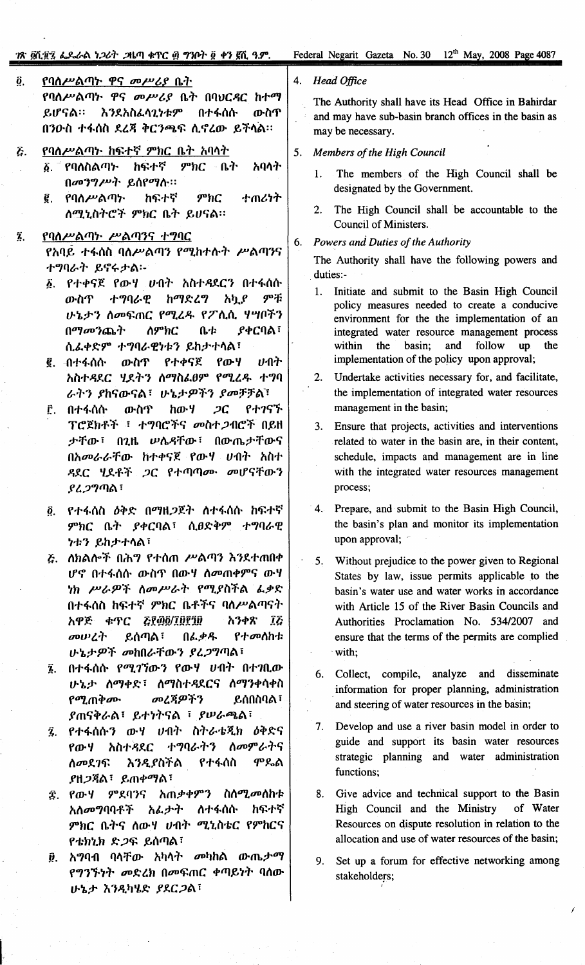## ?ጽ @്.፱፻፮ ፌዶራል ነጋሪት .ጋዜጣ ቁጥር ፴ ግንቦት ፬ ቀን ፪ሺ ዓ.ም.

#### የባለሥልጣት ዋና መሥሪያ ቤት  $\ddot{\mathbf{0}}$ . የባለሥልጣት ዋና መሥሪያ ቤት በባህርዳር ከተማ ይሆናል። እንደአስፌሳጊነቱም በተፋሰሱ ውስጥ በንዑስ ተፋሰስ ደረጃ ቅርንጫፍ ሲኖረው ይችሳል።

የባለሥልጣኑ ከፍተኛ ምክር ቤት አባላት Ĝ.

 $\bar{\mathbf{z}}$ .

- አባላት ፩. <sup>-</sup> የባለስልጣ≻ ከፍተኛ ምክር ቤት በመንግሥት ይሰየማሱ።
- ከፍተኛ  $9^{\circ}$ hC ተጠሪነት ĝ, የባለሥልጣ፦ ለሚኒስትሮች ምክር ቤት ይሀናል።
- የባለሥልጣኑ ሥልጣንና ተግባር *የአባይ ተፋ*ሰስ ባለሥልጣን የሚከተሱ*ት ሥ*ልጣንና ተግባራት ይኖሩታል፡-
	- ፩. የተቀናጀ የውሃ ሀብት አስተዳደርን በተፋሰሱ ምቹ ውስጥ ተግባራዊ ከማድረግ አካ.የ ሁኔታን ስመፍጠር የሚፈዱ የፖሲሲ ሃሣቦችን **ያቀርባል**፣ በማመንጨት ለምክር ቤቱ ሲፌቀድም ተግባራዊነቱን ይከታተሳል፣
	- የውሃ ሀብት ውስጥ የተቀናጀ ፪. ብተፋሰሱ አስተዳደር ሂደትን ስማስፌፀም የሚረዱ ተግባ ራትን ያከናውናል፣ ሁኔታዎችን ያመቻቻል፣
	- የተገናኙ ውስጥ ከውሃ  $2C$ ፫. በተፋሰሱ ፕሮጀክቶች ፣ ተግባሮችና መስተ*ጋ*ብሮች በይዘ ታቸው፣ በጊዜ ሥሴዳቸው፣ በውጤታቸውና በአመራራቸው ከተቀናጀ የውሃ ሀብት አስተ ዳደር ሂደቶች ጋር የተጣጣሙ መሆናቸውን ያረ*ጋግ*ጣል፣
	- <u>የተፋሰስ *ዕቅድ በማ*ዘ*ጋ*ጀት ስተፋሰሱ ከፍተኛ</u>  $\ddot{\mathbf{0}}$ . ምክር ቤት ያቀርባል፣ ሲፀድቅም ተግባራዊ **ነቱን ይከታተሳል፣**
	- ሯ. ስክልሎች በሕግ የተሰጠ ሥልጣን እንደተጠበቀ ሆኖ በተፋሰሱ ውስጥ በውሃ ስመጠቀምና ውሃ ነክ ሥራዎች ስመሥራት የሚያስችል ፌቃድ በተፋሰስ ከፍተኛ ምክር ቤቶችና ባለሥልጣናት GL@@\THEID አዋጅ ቁጥር አንቀጽ ፲፩ መሠረት ይሰጣል ፣ በፌቃዱ የተመሰከቱ ሁኔታዎች መከበራቸውን ያረጋግጣል፣
	- ፯. በተፋሰሱ የሚገኘውን የውሃ ሀብት በተገቢው ሁኔታ ሰማቀድ፣ ሰማስተዳደርና ሰማንቀሳቀስ መረጃዎችን የሚጠቅሙ **ይሰበስባል**፣ ያጠናቅራል፣ ይተነትናል ፣ ያሠራጫል፣
	- ፯ የተፋሰሱን ውሃ ሀብት ስትራቴጂክ ዕቅድና ተግባራትን ስመምራትና አስተዳደር የውሃ ስመደገፍ እንዲያስችል የተፋሰስ **ም**ዴል ያዘ*ጋ*ጃል፣ ይጠቀማል፣
	- ፰. የውሃ *ም*ደባንና አጠቃቀምን ስስሚ*መ*ስከቱ ስፍተኛ አሰመግባባቶች አፌታት ለተፋሰሱ ምክር ቤትና ሰውሃ ሀብት ሚኒስቴር የምክርና የቴክኒክ ድጋፍ ይሰጣል፣
	- ፱. አማባብ ባላቸው አካላት መካከል ውጤ*ታማ* የግንኙነት መድረክ በመፍጠር ቀጣይነት ባሰው ሁኔታ እንዲካሄድ ያደርጋል፣

#### 4. Head Office

The Authority shall have its Head Office in Bahirdar and may have sub-basin branch offices in the basin as may be necessary.

#### Members of the High Council 5.

- 1. The members of the High Council shall be designated by the Government.
- The High Council shall be accountable to the  $2.$ Council of Ministers.
- Powers and Duties of the Authority 6.

The Authority shall have the following powers and duties:-

- 1. Initiate and submit to the Basin High Council policy measures needed to create a conducive environment for the the implementation of an integrated water resource management process within the basin: and follow  $\mathbf{u}\mathbf{p}$ the implementation of the policy upon approval;
- Undertake activities necessary for, and facilitate,  $2.$ the implementation of integrated water resources management in the basin;
- Ensure that projects, activities and interventions  $3<sub>1</sub>$ related to water in the basin are, in their content, schedule, impacts and management are in line with the integrated water resources management process;
- $4.$ Prepare, and submit to the Basin High Council, the basin's plan and monitor its implementation upon approval;
- Without prejudice to the power given to Regional  $5.$ States by law, issue permits applicable to the basin's water use and water works in accordance with Article 15 of the River Basin Councils and Authorities Proclamation No. 534/2007 and ensure that the terms of the permits are complied with;
- 6. Collect, compile, analyze and disseminate information for proper planning, administration and steering of water resources in the basin;
- $7.$ Develop and use a river basin model in order to guide and support its basin water resources strategic planning and water administration functions;
- 8. Give advice and technical support to the Basin High Council and the Ministry of Water Resources on dispute resolution in relation to the allocation and use of water resources of the basin;
- 9. Set up a forum for effective networking among stakeholders;